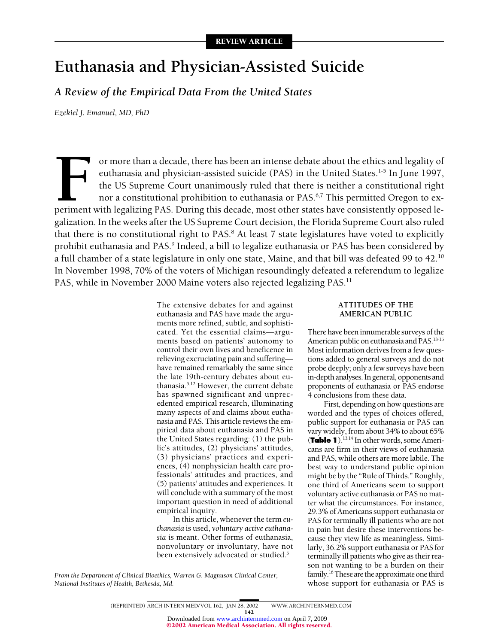# **Euthanasia and Physician-Assisted Suicide**

*A Review of the Empirical Data From the United States*

*Ezekiel J. Emanuel, MD, PhD*

For more than a decade, there has been an intense debate about the ethics and legality of euthanasia and physician-assisted suicide (PAS) in the United States.<sup>1-5</sup> In June 1997, the US Supreme Court unanimously ruled that euthanasia and physician-assisted suicide (PAS) in the United States.<sup>1-5</sup> In June 1997, the US Supreme Court unanimously ruled that there is neither a constitutional right nor a constitutional prohibition to euthanasia or PAS.<sup>6,7</sup> This permitted Oregon to exgalization. In the weeks after the US Supreme Court decision, the Florida Supreme Court also ruled that there is no constitutional right to PAS.<sup>8</sup> At least 7 state legislatures have voted to explicitly prohibit euthanasia and PAS.<sup>9</sup> Indeed, a bill to legalize euthanasia or PAS has been considered by a full chamber of a state legislature in only one state, Maine, and that bill was defeated 99 to 42.<sup>10</sup> In November 1998, 70% of the voters of Michigan resoundingly defeated a referendum to legalize PAS, while in November 2000 Maine voters also rejected legalizing PAS.<sup>11</sup>

> The extensive debates for and against euthanasia and PAS have made the arguments more refined, subtle, and sophisticated. Yet the essential claims—arguments based on patients' autonomy to control their own lives and beneficence in relieving excruciating pain and suffering have remained remarkably the same since the late 19th-century debates about euthanasia.5,12 However, the current debate has spawned significant and unprecedented empirical research, illuminating many aspects of and claims about euthanasia and PAS. This article reviews the empirical data about euthanasia and PAS in the United States regarding: (1) the public's attitudes, (2) physicians' attitudes, (3) physicians' practices and experiences, (4) nonphysician health care professionals' attitudes and practices, and (5) patients' attitudes and experiences. It will conclude with a summary of the most important question in need of additional empirical inquiry.

> In this article, whenever the term *euthanasia* is used, *voluntary active euthanasia* is meant. Other forms of euthanasia, nonvoluntary or involuntary, have not been extensively advocated or studied.<sup>5</sup>

# **ATTITUDES OF THE AMERICAN PUBLIC**

There have been innumerable surveys of the American public on euthanasia and PAS.13-15 Most information derives from a few questions added to general surveys and do not probe deeply; only a few surveys have been in-depth analyses. In general, opponents and proponents of euthanasia or PAS endorse 4 conclusions from these data.

First, depending on how questions are worded and the types of choices offered, public support for euthanasia or PAS can vary widely, from about 34% to about 65% **(Table 1**).<sup>13,14</sup> In other words, some Americans are firm in their views of euthanasia and PAS, while others are more labile. The best way to understand public opinion might be by the "Rule of Thirds." Roughly, one third of Americans seem to support voluntary active euthanasia or PAS no matter what the circumstances. For instance, 29.3% of Americans support euthanasia or PAS for terminally ill patients who are not in pain but desire these interventions because they view life as meaningless. Similarly, 36.2% support euthanasia or PAS for terminally ill patients who give as their reason not wanting to be a burden on their family.<sup>16</sup> These are the approximate one third whose support for euthanasia or PAS is

*From the Department of Clinical Bioethics, Warren G. Magnuson Clinical Center, National Institutes of Health, Bethesda, Md.*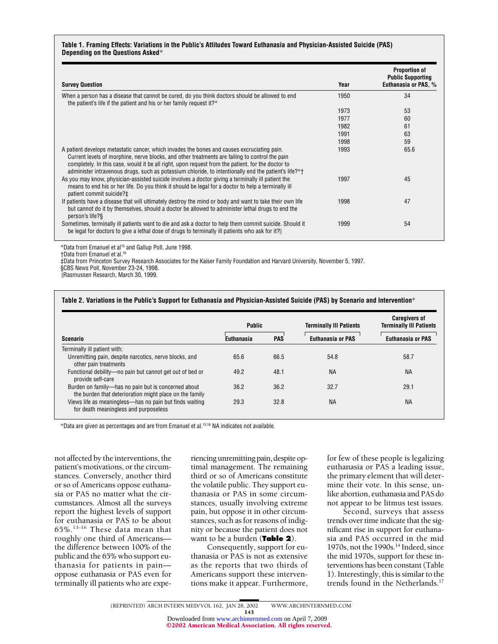### **Table 1. Framing Effects: Variations in the Public's Attitudes Toward Euthanasia and Physician-Assisted Suicide (PAS) Depending on the Questions Asked**\*

| <b>Survey Question</b>                                                                                                                                                                                                                                                                                                                                                                                     | Year | <b>Proportion of</b><br><b>Public Supporting</b><br>Euthanasia or PAS, % |
|------------------------------------------------------------------------------------------------------------------------------------------------------------------------------------------------------------------------------------------------------------------------------------------------------------------------------------------------------------------------------------------------------------|------|--------------------------------------------------------------------------|
| When a person has a disease that cannot be cured, do you think doctors should be allowed to end<br>the patient's life if the patient and his or her family request it?*                                                                                                                                                                                                                                    | 1950 | 34                                                                       |
|                                                                                                                                                                                                                                                                                                                                                                                                            | 1973 | 53                                                                       |
|                                                                                                                                                                                                                                                                                                                                                                                                            | 1977 | 60                                                                       |
|                                                                                                                                                                                                                                                                                                                                                                                                            | 1982 | 61                                                                       |
|                                                                                                                                                                                                                                                                                                                                                                                                            | 1991 | 63                                                                       |
|                                                                                                                                                                                                                                                                                                                                                                                                            | 1998 | 59                                                                       |
| A patient develops metastatic cancer, which invades the bones and causes excruciating pain.<br>Current levels of morphine, nerve blocks, and other treatments are failing to control the pain<br>completely. In this case, would it be all right, upon request from the patient, for the doctor to<br>administer intravenous drugs, such as potassium chloride, to intentionally end the patient's life?*† | 1993 | 65.6                                                                     |
| As you may know, physician-assisted suicide involves a doctor giving a terminally ill patient the<br>means to end his or her life. Do you think it should be legal for a doctor to help a terminally ill<br>patient commit suicide? <sup>+</sup>                                                                                                                                                           | 1997 | 45                                                                       |
| If patients have a disease that will ultimately destroy the mind or body and want to take their own life<br>but cannot do it by themselves, should a doctor be allowed to administer lethal drugs to end the<br>person's life?§                                                                                                                                                                            | 1998 | 47                                                                       |
| Sometimes, terminally ill patients want to die and ask a doctor to help them commit suicide. Should it<br>be legal for doctors to give a lethal dose of drugs to terminally ill patients who ask for it?                                                                                                                                                                                                   | 1999 | 54                                                                       |

\*Data from Emanuel et al15 and Gallup Poll, June 1998.

†Data from Emanuel et al.16

‡Data from Princeton Survey Research Associates for the Kaiser Family Foundation and Harvard University, November 5, 1997.

§CBS News Poll, November 23-24, 1998.

Rasmussen Research, March 30, 1999.

## **Table 2. Variations in the Public's Support for Euthanasia and Physician-Assisted Suicide (PAS) by Scenario and Intervention**\*

|                                                                                                                | <b>Public</b> |            | <b>Terminally III Patients</b> | <b>Caregivers of</b><br><b>Terminally III Patients</b> |
|----------------------------------------------------------------------------------------------------------------|---------------|------------|--------------------------------|--------------------------------------------------------|
| Scenario                                                                                                       | Euthanasia    | <b>PAS</b> | <b>Euthanasia or PAS</b>       | <b>Euthanasia or PAS</b>                               |
| Terminally ill patient with:                                                                                   |               |            |                                |                                                        |
| Unremitting pain, despite narcotics, nerve blocks, and<br>other pain treatments                                | 65.6          | 66.5       | 54.8                           | 58.7                                                   |
| Functional debility—no pain but cannot get out of bed or<br>provide self-care                                  | 49.2          | 48.1       | <b>NA</b>                      | <b>NA</b>                                              |
| Burden on family-has no pain but is concerned about<br>the burden that deterioration might place on the family | 36.2          | 36.2       | 32.7                           | 29.1                                                   |
| Views life as meaningless-has no pain but finds waiting<br>for death meaningless and purposeless               | 29.3          | 32.8       | <b>NA</b>                      | <b>NA</b>                                              |

\*Data are given as percentages and are from Emanuel et al.15,16 NA indicates not available.

not affected by the interventions, the patient's motivations, or the circumstances. Conversely, another third or so of Americans oppose euthanasia or PAS no matter what the circumstances. Almost all the surveys report the highest levels of support for euthanasia or PAS to be about 65%.13-16 These data mean that roughly one third of Americans the difference between 100% of the public and the 65% who support euthanasia for patients in pain oppose euthanasia or PAS even for terminally ill patients who are experiencing unremitting pain, despite optimal management. The remaining third or so of Americans constitute the volatile public. They support euthanasia or PAS in some circumstances, usually involving extreme pain, but oppose it in other circumstances, such as for reasons of indignity or because the patient does not want to be a burden (**Table 2**).

Consequently, support for euthanasia or PAS is not as extensive as the reports that two thirds of Americans support these interventions make it appear. Furthermore, for few of these people is legalizing euthanasia or PAS a leading issue, the primary element that will determine their vote. In this sense, unlike abortion, euthanasia and PAS do not appear to be litmus test issues.

Second, surveys that assess trends over time indicate that the significant rise in support for euthanasia and PAS occurred in the mid 1970s, not the  $1990s$ .<sup>14</sup> Indeed, since the mid 1970s, support for these interventions has been constant (Table 1). Interestingly, this is similar to the trends found in the Netherlands.17

©2002 American Medical Association. All rights reserved. Downloaded from [www.archinternmed.com](http://www.archinternmed.com) on April 7, 2009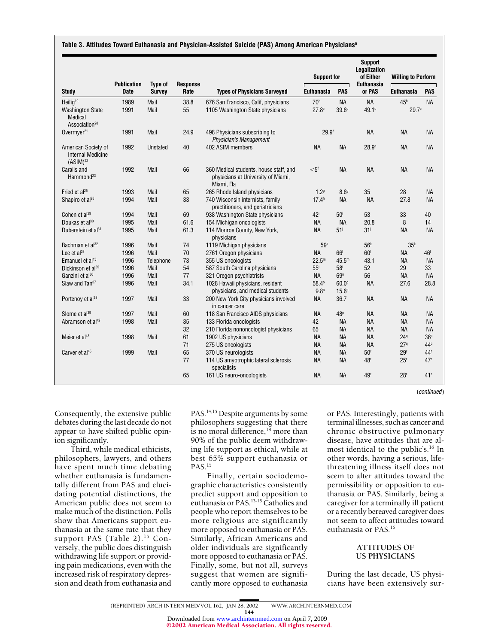# **Table 3. Attitudes Toward Euthanasia and Physician-Assisted Suicide (PAS) Among American Physiciansa**

|                                                                  |                                   |                                 |                         |                                                                                            | <b>Support for</b>              |                                | <b>Support</b><br>Legalization<br>of Either | <b>Willing to Perform</b>          |                        |
|------------------------------------------------------------------|-----------------------------------|---------------------------------|-------------------------|--------------------------------------------------------------------------------------------|---------------------------------|--------------------------------|---------------------------------------------|------------------------------------|------------------------|
| <b>Study</b>                                                     | <b>Publication</b><br><b>Date</b> | <b>Type of</b><br><b>Survey</b> | <b>Response</b><br>Rate | <b>Types of Physicians Surveyed</b>                                                        | <b>Euthanasia</b><br><b>PAS</b> |                                | <b>Euthanasia</b><br>or PAS                 | <b>Euthanasia</b>                  | <b>PAS</b>             |
| Heilig <sup>19</sup>                                             | 1989                              | Mail                            | 38.8                    | 676 San Francisco, Calif, physicians                                                       | 70 <sup>b</sup>                 | <b>NA</b>                      | <b>NA</b>                                   | 45 <sup>b</sup>                    | <b>NA</b>              |
| <b>Washington State</b><br>Medical<br>Association <sup>20</sup>  | 1991                              | Mail                            | 55                      | 1105 Washington State physicians                                                           | $27.8^{\circ}$                  | 39.6 <sup>c</sup>              | 49.1 <sup>c</sup>                           | $29.7^\circ$                       |                        |
| Overmyer <sup>21</sup>                                           | 1991                              | Mail                            | 24.9                    | 498 Physicians subscribing to<br>Physician's Management                                    | 29.9 <sup>d</sup>               |                                | <b>NA</b>                                   | <b>NA</b>                          | <b>NA</b>              |
| American Society of<br><b>Internal Medicine</b><br>$(ASIM)^{22}$ | 1992                              | <b>Unstated</b>                 | 40                      | 402 ASIM members                                                                           | <b>NA</b>                       | <b>NA</b>                      | $28.9^\circ$                                | <b>NA</b>                          | <b>NA</b>              |
| Caralis and<br>Hammond <sup>23</sup>                             | 1992                              | Mail                            | 66                      | 360 Medical students, house staff, and<br>physicians at University of Miami,<br>Miami, Fla | $<$ 5 $\mathfrak{f}$            | <b>NA</b>                      | <b>NA</b>                                   | <b>NA</b>                          | <b>NA</b>              |
| Fried et al <sup>25</sup>                                        | 1993                              | Mail                            | 65                      | 265 Rhode Island physicians                                                                | 1.29                            | 8.69                           | 35                                          | 28                                 | <b>NA</b>              |
| Shapiro et al <sup>28</sup>                                      | 1994                              | Mail                            | 33                      | 740 Wisconsin internists, family<br>practitioners, and geriatricians                       | 17.4 <sup>h</sup>               | <b>NA</b>                      | <b>NA</b>                                   | 27.8                               | <b>NA</b>              |
| Cohen et al <sup>29</sup>                                        | 1994                              | Mail                            | 69                      | 938 Washington State physicians                                                            | $42^{\mathrm{i}}$               | 50 <sup>i</sup>                | 53                                          | 33                                 | 40                     |
| Doukas et al <sup>30</sup>                                       | 1995                              | Mail                            | 61.6                    | 154 Michigan oncologists                                                                   | <b>NA</b>                       | <b>NA</b>                      | 20.8                                        | 8                                  | 14                     |
| Duberstein et al <sup>31</sup>                                   | 1995                              | Mail                            | 61.3                    | 114 Monroe County, New York,<br>physicians                                                 | <b>NA</b>                       | 51 <sup>j</sup>                | 31 <sup>j</sup>                             | <b>NA</b>                          | <b>NA</b>              |
| Bachman et al <sup>32</sup>                                      | 1996                              | Mail                            | 74                      | 1119 Michigan physicians                                                                   | 59 <sup>k</sup>                 |                                | 56 <sup>k</sup>                             | 35 <sup>k</sup>                    |                        |
| Lee et $al^{33}$                                                 | 1996                              | Mail                            | 70                      | 2761 Oregon physicians                                                                     | <b>NA</b>                       | 66                             | 60                                          | <b>NA</b>                          | 46                     |
| Emanuel et al <sup>15</sup>                                      | 1996                              | Telephone                       | 73                      | 355 US oncologists                                                                         | $22.5^m$                        | $45.5^m$                       | 43.1                                        | <b>NA</b>                          | <b>NA</b>              |
| Dickinson et al <sup>35</sup>                                    | 1996                              | Mail                            | 54                      | 587 South Carolina physicians                                                              | $55^{\mathrm{i}}$               | 58 <sup>i</sup>                | 52                                          | 29                                 | 33                     |
| Ganzini et al <sup>36</sup>                                      | 1996                              | Mail                            | 77                      | 321 Oregon psychiatrists                                                                   | <b>NA</b>                       | 69 <sup>n</sup>                | 56                                          | <b>NA</b>                          | <b>NA</b>              |
| Siaw and Tan <sup>37</sup>                                       | 1996                              | Mail                            | 34.1                    | 1028 Hawaii physicians, resident<br>physicians, and medical students                       | 58.4°<br>$9.8^\circ$            | $60.0^\circ$<br>$15.6^{\circ}$ | <b>NA</b>                                   | 27.6                               | 28.8                   |
| Portenoy et al <sup>38</sup>                                     | 1997                              | Mail                            | 33                      | 200 New York City physicians involved<br>in cancer care                                    | <b>NA</b>                       | 36.7                           | <b>NA</b>                                   | <b>NA</b>                          | <b>NA</b>              |
| Slome et al <sup>39</sup>                                        | 1997                              | Mail                            | 60                      | 118 San Francisco AIDS physicians                                                          | <b>NA</b>                       | 48 <sup>p</sup>                | <b>NA</b>                                   | <b>NA</b>                          | <b>NA</b>              |
| Abramson et al <sup>42</sup>                                     | 1998                              | Mail                            | 35<br>32                | 133 Florida oncologists<br>210 Florida nononcologist physicians                            | 42<br>65                        | <b>NA</b><br><b>NA</b>         | <b>NA</b><br><b>NA</b>                      | <b>NA</b><br><b>NA</b>             | <b>NA</b><br><b>NA</b> |
| Meier et al <sup>43</sup>                                        | 1998                              | Mail                            | 61<br>71                | 1902 US physicians<br>275 US oncologists                                                   | <b>NA</b><br><b>NA</b>          | <b>NA</b><br><b>NA</b>         | <b>NA</b><br><b>NA</b>                      | 24 <sup>q</sup><br>27 <sup>q</sup> | 36 <sup>q</sup><br>449 |
| Carver et al <sup>45</sup>                                       | 1999                              | Mail                            | 65                      | 370 US neurologists                                                                        | <b>NA</b>                       | <b>NA</b>                      | 50 <sup>r</sup>                             | 29 <sup>r</sup>                    | 44 <sup>r</sup>        |
|                                                                  |                                   |                                 | 77                      | 114 US amyotrophic lateral sclerosis<br>specialists                                        | <b>NA</b>                       | <b>NA</b>                      | 48 <sup>r</sup>                             | 25 <sup>r</sup>                    | 47 <sup>r</sup>        |
|                                                                  |                                   |                                 | 65                      | 161 US neuro-oncologists                                                                   | <b>NA</b>                       | <b>NA</b>                      | 49 <sup>r</sup>                             | 28 <sup>r</sup>                    | 41 <sup>r</sup>        |

Consequently, the extensive public debates during the last decade do not appear to have shifted public opinion significantly.

Third, while medical ethicists, philosophers, lawyers, and others have spent much time debating whether euthanasia is fundamentally different from PAS and elucidating potential distinctions, the American public does not seem to make much of the distinction. Polls show that Americans support euthanasia at the same rate that they support PAS (Table 2). $15$  Conversely, the public does distinguish withdrawing life support or providing pain medications, even with the increased risk of respiratory depression and death from euthanasia and

PAS.<sup>14,15</sup> Despite arguments by some philosophers suggesting that there is no moral difference, $18$  more than 90% of the public deem withdrawing life support as ethical, while at best 65% support euthanasia or PAS.15

Finally, certain sociodemographic characteristics consistently predict support and opposition to euthanasia or PAS.<sup>13-15</sup> Catholics and people who report themselves to be more religious are significantly more opposed to euthanasia or PAS. Similarly, African Americans and older individuals are significantly more opposed to euthanasia or PAS. Finally, some, but not all, surveys suggest that women are significantly more opposed to euthanasia

or PAS. Interestingly, patients with terminal illnesses, such as cancer and chronic obstructive pulmonary disease, have attitudes that are almost identical to the public's.16 In other words, having a serious, lifethreatening illness itself does not seem to alter attitudes toward the permissibility or opposition to euthanasia or PAS. Similarly, being a caregiver for a terminally ill patient or a recently bereaved caregiver does not seem to affect attitudes toward euthanasia or PAS.16

# **ATTITUDES OF US PHYSICIANS**

During the last decade, US physicians have been extensively sur-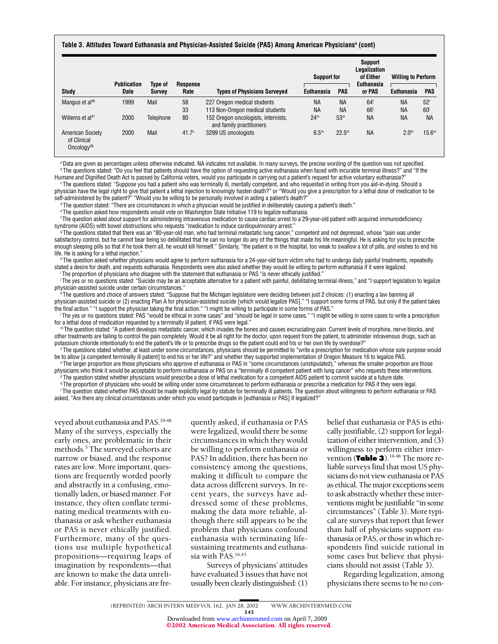## **Table 3. Attitudes Toward Euthanasia and Physician-Assisted Suicide (PAS) Among American Physiciansa (cont)**

|                                                                  | <b>Publication</b><br>Type of |           | <b>Response</b>   |                                                                 | <b>Support for</b> |                 | <b>Support</b><br>Legalization<br>of Either<br><b>Euthanasia</b> | <b>Willing to Perform</b> |                   |
|------------------------------------------------------------------|-------------------------------|-----------|-------------------|-----------------------------------------------------------------|--------------------|-----------------|------------------------------------------------------------------|---------------------------|-------------------|
| <b>Study</b>                                                     | Date                          | Survey    | Rate              | <b>Types of Physicians Surveyed</b>                             | <b>Euthanasia</b>  | <b>PAS</b>      | or PAS                                                           | Euthanasia                | <b>PAS</b>        |
| Mangus et al <sup>46</sup>                                       | 1999                          | Mail      | 58                | 227 Oregon medical students                                     | <b>NA</b>          | <b>NA</b>       | 64 <sup>1</sup>                                                  | <b>NA</b>                 | 52 <sup>1</sup>   |
|                                                                  |                               |           | 33                | 113 Non-Oregon medical students                                 | <b>NA</b>          | <b>NA</b>       | 66                                                               | <b>NA</b>                 | 60 <sup>1</sup>   |
| Willems et al <sup>47</sup>                                      | 2000                          | Telephone | 80                | 152 Oregon oncologists, internists,<br>and family practitioners | $24^{m}$           | 53 <sup>m</sup> | <b>NA</b>                                                        | <b>NA</b>                 | <b>NA</b>         |
| <b>American Society</b><br>of Clinical<br>Oncology <sup>48</sup> | 2000                          | Mail      | 41.7 <sup>c</sup> | 3299 US oncologists                                             | 6.5 <sup>m</sup>   | $22.5^m$        | <b>NA</b>                                                        | 2.0 <sup>m</sup>          | 15.6 <sup>m</sup> |

aData are given as percentages unless otherwise indicated. NA indicates not available. In many surveys, the precise wording of the question was not specified. **b** The questions stated: "Do you feel that patients should have the option of requesting active euthanasia when faced with incurable terminal illness?" and "If the Humane and Dignified Death Act is passed by California voters, would you participate in carrying out a patient's request for active voluntary euthanasia?"

cThe questions stated: "Suppose you had a patient who was terminally ill, mentally competent, and who requested in writing from you aid-in-dying. Should a physician have the legal right to give that patient a lethal injection to knowingly hasten death?" or "Would you give a prescription for a lethal dose of medication to be self-administered by the patient?" "Would you be willing to be personally involved in aiding a patient's death?"

<sup>d</sup> The question stated: "There are circumstances in which a physician would be justified in deliberately causing a patient's death."

<sup>e</sup>The question asked how respondents would vote on Washington State Initiative 119 to legalize euthanasia.

f The question asked about support for administering intravenous medication to cause cardiac arrest to a 29-year-old patient with acquired immunodeficiency syndrome (AIDS) with bowel obstructions who requests "medication to induce cardiopulmonary arrest."

<sup>9</sup>The questions stated that there was an "80-year-old man, who had terminal metastatic lung cancer," competent and not depressed, whose "pain was under satisfactory control, but he cannot bear being so debilitated that he can no longer do any of the things that made his life meaningful. He is asking for you to prescribe enough sleeping pills so that if he took them all, he would kill himself." Similarly, "the patient is in the hospital, too weak to swallow a lot of pills, and wishes to end his life. He is asking for a lethal injection."

h The question asked whether physicians would agree to perform euthanasia for a 24-year-old burn victim who had to undergo daily painful treatments, repeatedly stated a desire for death, and requests euthanasia. Respondents were also asked whether they would be willing to perform euthanasia if it were legalized. i The proportion of physicians who disagree with the statement that euthanasia or PAS "is never ethically justified."

j The yes or no questions stated: "Suicide may be an acceptable alternative for a patient with painful, debilitating terminal illness," and "I support legislation to legalize physician-assisted suicide under certain circumstances."

 $k$ The questions and choice of answers stated: "Suppose that the Michigan legislature were deciding between just 2 choices: (1) enacting a law banning all physician-assisted suicide or (2) enacting Plan A for physician-assisted suicide [which would legalize PAS]." "I support some forms of PAS, but only if the patient takes the final action." "I support the physician taking the final action." "I might be willing to participate in some forms of PAS."

l The yes or no questions stated: PAS "would be ethical in some cases" and "should be legal in some cases." "I might be willing in some cases to write a prescription for a lethal dose of medication requested by a terminally ill patient, if PAS were legal."

<sup>m</sup> The question stated: "A patient develops metastatic cancer, which invades the bones and causes excruciating pain. Current levels of morphine, nerve blocks, and other treatments are failing to control the pain completely. Would it be all right for the doctor, upon request from the patient, to administer intravenous drugs, such as potassium chloride intentionally to end the patient's life or to prescribe drugs so the patient could end his or her own life by overdose?"

<sup>n</sup> The questions stated whether, at least under some circumstances, physicians should be permitted to "write a prescription for medication whose sole purpose would be to allow [a competent terminally ill patient] to end his or her life?" and whether they supported implementation of Oregon Measure 16 to legalize PAS.

<sup>o</sup> The larger proportion are those physicians who approve of euthanasia or PAS in "some circumstances (unstipulated)," whereas the smaller proportion are those physicians who think it would be acceptable to perform euthanasia or PAS on a "terminally ill competent patient with lung cancer" who requests these interventions. p The question stated whether physicians would prescribe a dose of lethal medication for a competent AIDS patient to commit suicide at a future date.

<sup>q</sup> The proportion of physicians who would be willing under some circumstances to perform euthanasia or prescribe a medication for PAS if they were legal.

r The question stated whether PAS should be made explicitly legal by statute for terminally ill patients. The question about willingness to perform euthanasia or PAS asked, "Are there any clinical circumstances under which you would participate in [euthanasia or PAS] if legalized?"

veyed about euthanasia and PAS.19-48 Many of the surveys, especially the early ones, are problematic in their methods.<sup>5</sup> The surveyed cohorts are narrow or biased, and the response rates are low. More important, questions are frequently worded poorly and abstractly in a confusing, emotionally laden, or biased manner. For instance, they often conflate terminating medical treatments with euthanasia or ask whether euthanasia or PAS is never ethically justified. Furthermore, many of the questions use multiple hypothetical propositions—requiring leaps of imagination by respondents—that are known to make the data unreliable. For instance, physicians are frequently asked, if euthanasia or PAS were legalized, would there be some circumstances in which they would be willing to perform euthanasia or PAS? In addition, there has been no consistency among the questions, making it difficult to compare the data across different surveys. In recent years, the surveys have addressed some of these problems, making the data more reliable, although there still appears to be the problem that physicians confound euthanasia with terminating lifesustaining treatments and euthanasia with  $PAS$ <sup>16,43</sup>

Surveys of physicians' attitudes have evaluated 3 issues that have not usually been clearly distinguished: (1)

belief that euthanasia or PAS is ethically justifiable, (2) support for legalization of either intervention, and (3) willingness to perform either intervention (**Table 3**).<sup>19-48</sup> The more reliable surveys find that most US physicians do not view euthanasia or PAS as ethical. The major exceptions seem to ask abstractly whether these interventions might be justifiable "in some circumstances" (Table 3). More typical are surveys that report that fewer than half of physicians support euthanasia or PAS, or those in which respondents find suicide rational in some cases but believe that physicians should not assist (Table 3).

Regarding legalization, among physicians there seems to be no con-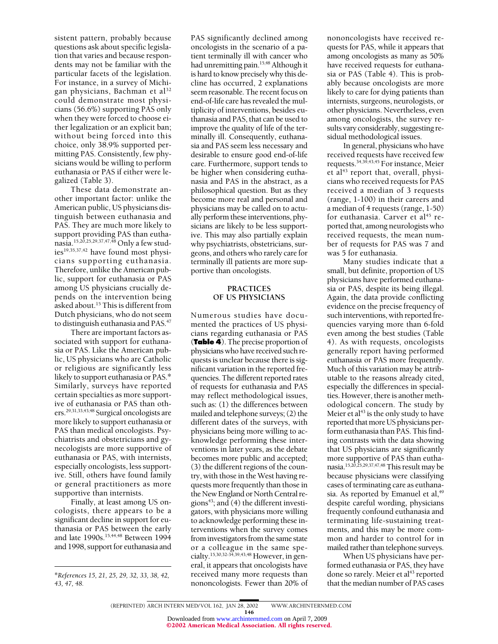sistent pattern, probably because questions ask about specific legislation that varies and because respondents may not be familiar with the particular facets of the legislation. For instance, in a survey of Michigan physicians, Bachman et al<sup>32</sup> could demonstrate most physicians (56.6%) supporting PAS only when they were forced to choose either legalization or an explicit ban; without being forced into this choice, only 38.9% supported permitting PAS. Consistently, few physicians would be willing to perform euthanasia or PAS if either were legalized (Table 3).

These data demonstrate another important factor: unlike the American public, US physicians distinguish between euthanasia and PAS. They are much more likely to support providing PAS than euthanasia.15,20,25,29,37,47,48 Only a few studies<sup>19,35,37,42</sup> have found most physicians supporting euthanasia. Therefore, unlike the American public, support for euthanasia or PAS among US physicians crucially depends on the intervention being asked about.<sup>15</sup> This is different from Dutch physicians, who do not seem to distinguish euthanasia and PAS.<sup>47</sup>

There are important factors associated with support for euthanasia or PAS. Like the American public, US physicians who are Catholic or religious are significantly less likely to support euthanasia or PAS.\* Similarly, surveys have reported certain specialties as more supportive of euthanasia or PAS than others.29,31,33,43,48 Surgical oncologists are more likely to support euthanasia or PAS than medical oncologists. Psychiatrists and obstetricians and gynecologists are more supportive of euthanasia or PAS, with internists, especially oncologists, less supportive. Still, others have found family or general practitioners as more supportive than internists.

Finally, at least among US oncologists, there appears to be a significant decline in support for euthanasia or PAS between the early and late 1990s.<sup>15,44,48</sup> Between 1994 and 1998, support for euthanasia and

PAS significantly declined among oncologists in the scenario of a patient terminally ill with cancer who had unremitting pain.<sup>15,48</sup> Although it is hard to know precisely why this decline has occurred, 2 explanations seem reasonable. The recent focus on end-of-life care has revealed the multiplicity of interventions, besides euthanasia and PAS, that can be used to improve the quality of life of the terminally ill. Consequently, euthanasia and PAS seem less necessary and desirable to ensure good end-of-life care. Furthermore, support tends to be higher when considering euthanasia and PAS in the abstract, as a philosophical question. But as they become more real and personal and physicians may be called on to actually perform these interventions, physicians are likely to be less supportive. This may also partially explain why psychiatrists, obstetricians, surgeons, and others who rarely care for terminally ill patients are more supportive than oncologists.

# **PRACTICES OF US PHYSICIANS**

Numerous studies have documented the practices of US physicians regarding euthanasia or PAS (**Table 4**). The precise proportion of physicians who have received such requests is unclear because there is significant variation in the reported frequencies. The different reported rates of requests for euthanasia and PAS may reflect methodological issues, such as: (1) the differences between mailed and telephone surveys; (2) the different dates of the surveys, with physicians being more willing to acknowledge performing these interventions in later years, as the debate becomes more public and accepted; (3) the different regions of the country, with those in the West having requests more frequently than those in the New England or North Central regions $43$ ; and (4) the different investigators, with physicians more willing to acknowledge performing these interventions when the survey comes from investigators from the same state or a colleague in the same specialty.15,30,32-34,39,43,48 However, in general, it appears that oncologists have received many more requests than nononcologists. Fewer than 20% of that the median number of PAS cases \**References 15, 21, 25, 29, 32, 33, 38, 42,*

nononcologists have received requests for PAS, while it appears that among oncologists as many as 50% have received requests for euthanasia or PAS (Table 4). This is probably because oncologists are more likely to care for dying patients than internists, surgeons, neurologists, or other physicians. Nevertheless, even among oncologists, the survey results vary considerably, suggesting residual methodological issues.

In general, physicians who have received requests have received few requests.34,39,43,45 For instance, Meier et  $al^{43}$  report that, overall, physicians who received requests for PAS received a median of 3 requests (range, 1-100) in their careers and a median of 4 requests (range, 1-50) for euthanasia. Carver et al<sup>45</sup> reported that, among neurologists who received requests, the mean number of requests for PAS was 7 and was 5 for euthanasia.

Many studies indicate that a small, but definite, proportion of US physicians have performed euthanasia or PAS, despite its being illegal. Again, the data provide conflicting evidence on the precise frequency of such interventions, with reported frequencies varying more than 6-fold even among the best studies (Table 4). As with requests, oncologists generally report having performed euthanasia or PAS more frequently. Much of this variation may be attributable to the reasons already cited, especially the differences in specialties. However, there is another methodological concern. The study by Meier et al<sup>43</sup> is the only study to have reported that more US physicians perform euthanasia than PAS. This finding contrasts with the data showing that US physicians are significantly more supportive of PAS than euthanasia.15,20,25,29,37,47,48 This result may be because physicians were classifying cases of terminating care as euthanasia. As reported by Emanuel et al, $49$ despite careful wording, physicians frequently confound euthanasia and terminating life-sustaining treatments, and this may be more common and harder to control for in mailed rather than telephone surveys.

When US physicians have performed euthanasia or PAS, they have done so rarely. Meier et al<sup>43</sup> reported<br>that the median number of PAS cases

*<sup>43, 47, 48.</sup>*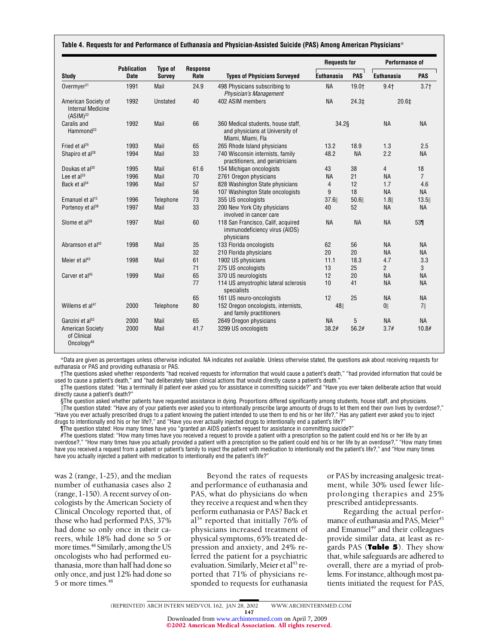|                                                                  | <b>Publication</b> | <b>Type of</b> | <b>Response</b> |                                                                                            | <b>Requests for</b>    |                   | Performance of   |                |  |
|------------------------------------------------------------------|--------------------|----------------|-----------------|--------------------------------------------------------------------------------------------|------------------------|-------------------|------------------|----------------|--|
| <b>Study</b>                                                     | <b>Date</b>        | <b>Survey</b>  | Rate            | <b>Types of Physicians Surveyed</b>                                                        | Euthanasia             | PAS               | Euthanasia       | PAS            |  |
| Overmyer <sup>21</sup>                                           | 1991               | Mail           | 24.9            | 498 Physicians subscribing to<br>Physician's Management                                    | <b>NA</b>              | 19.0+             | 9.4 <sub>†</sub> | $3.7+$         |  |
| American Society of<br>Internal Medicine<br>$(ASIM)^{22}$        | 1992               | Unstated       | 40              | 402 ASIM members                                                                           | <b>NA</b>              | 24.3 <sup>‡</sup> | 20.6‡            |                |  |
| Caralis and<br>Hammond <sup>23</sup>                             | 1992               | Mail           | 66              | 360 Medical students, house staff,<br>and physicians at University of<br>Miami, Miami, Fla | 34.2§                  |                   | <b>NA</b>        | <b>NA</b>      |  |
| Fried et al <sup>25</sup>                                        | 1993               | Mail           | 65              | 265 Rhode Island physicians                                                                | 13.2                   | 18.9              | 1.3              | 2.5            |  |
| Shapiro et al <sup>28</sup>                                      | 1994               | Mail           | 33              | 740 Wisconsin internists, family<br>practitioners, and geriatricians                       | 48.2                   | <b>NA</b>         | 2.2              | <b>NA</b>      |  |
| Doukas et al <sup>30</sup>                                       | 1995               | Mail           | 61.6            | 154 Michigan oncologists                                                                   | 38<br>43               |                   | 4                | 18             |  |
| Lee et $al^{33}$                                                 | 1996               | Mail           | 70              | 2761 Oregon physicians                                                                     | <b>NA</b>              | 21                | <b>NA</b>        | $\overline{7}$ |  |
| Back et al <sup>34</sup>                                         | 1996               | Mail           | 57              | 828 Washington State physicians                                                            | $\overline{4}$         | 12                | 1.7              | 4.6            |  |
|                                                                  |                    |                | 56              | 107 Washington State oncologists                                                           | 9                      | 18                | <b>NA</b>        | <b>NA</b>      |  |
| Emanuel et al <sup>15</sup>                                      | 1996               | Telephone      | 73              | 355 US oncologists<br>50.6<br>37.6                                                         |                        | 1.8               | 13.5             |                |  |
| Portenoy et al <sup>38</sup>                                     | 1997               | Mail           | 33              | 200 New York City physicians<br>involved in cancer care                                    | 40                     | 52                | <b>NA</b>        | NA             |  |
| Slome et al <sup>39</sup>                                        | 1997               | Mail           | 60              | 118 San Francisco, Calif, acquired<br>immunodeficiency virus (AIDS)<br>physicians          | <b>NA</b><br><b>NA</b> |                   | <b>NA</b>        | 53¶            |  |
| Abramson et al <sup>42</sup>                                     | 1998               | Mail           | 35              | 133 Florida oncologists                                                                    | 62                     | 56                | <b>NA</b>        | <b>NA</b>      |  |
|                                                                  |                    |                | 32              | 210 Florida physicians                                                                     | 20                     | 20                | <b>NA</b>        | <b>NA</b>      |  |
| Meier et al <sup>43</sup>                                        | 1998               | Mail           | 61              | 1902 US physicians                                                                         | 11.1                   | 18.3              | 4.7              | 3.3            |  |
|                                                                  |                    |                | 71              | 275 US oncologists                                                                         | 13                     | 25                | $\overline{c}$   | 3              |  |
| Carver et al <sup>45</sup>                                       | 1999               | Mail           | 65              | 370 US neurologists                                                                        | 12                     | 20                | <b>NA</b>        | <b>NA</b>      |  |
|                                                                  |                    |                | 77              | 114 US amyotrophic lateral sclerosis<br>specialists                                        | 10                     | 41                | <b>NA</b>        | <b>NA</b>      |  |
|                                                                  |                    |                | 65              | 161 US neuro-oncologists                                                                   | 12                     | 25                | <b>NA</b>        | <b>NA</b>      |  |
| Willems et al <sup>47</sup>                                      | 2000               | Telephone      | 80              | 152 Oregon oncologists, internists,<br>and family practitioners                            | 48                     |                   | 0                | $7$            |  |
| Ganzini et al <sup>52</sup>                                      | 2000               | Mail           | 65              | 2649 Oregon physicians                                                                     | <b>NA</b>              | 5                 | <b>NA</b>        | <b>NA</b>      |  |
| <b>American Society</b><br>of Clinical<br>Oncology <sup>48</sup> | 2000               | Mail           | 41.7            | 3299 US oncologists                                                                        | 38.2#                  | 56.2#             | 3.7#             | 10.8#          |  |

\*Data are given as percentages unless otherwise indicated. NA indicates not available. Unless otherwise stated, the questions ask about receiving requests for euthanasia or PAS and providing euthanasia or PAS.

†The questions asked whether respondents "had received requests for information that would cause a patient's death," "had provided information that could be used to cause a patient's death," and "had deliberately taken clinical actions that would directly cause a patient's death."

‡The questions stated: "Has a terminally ill patient ever asked you for assistance in committing suicide?" and "Have you ever taken deliberate action that would directly cause a patient's death?"

§The question asked whether patients have requested assistance in dying. Proportions differed significantly among students, house staff, and physicians. The question stated: "Have any of your patients ever asked you to intentionally prescribe large amounts of drugs to let them end their own lives by overdose?," "Have you ever actually prescribed drugs to a patient knowing the patient intended to use them to end his or her life?," Has any patient ever asked you to inject drugs to intentionally end his or her life?," and "Have you ever actually injected drugs to intentionally end a patient's life?"

¶The question stated: How many times have you "granted an AIDS patient's request for assistance in committing suicide?"

#The questions stated: "How many times have you received a request to provide a patient with a prescription so the patient could end his or her life by an overdose?," "How many times have you actually provided a patient with a prescription so the patient could end his or her life by an overdose?," "How many times have you received a request from a patient or patient's family to inject the patient with medication to intentionally end the patient's life?," and "How many times have you actually injected a patient with medication to intentionally end the patient's life?"

was 2 (range, 1-25), and the median number of euthanasia cases also 2 (range, 1-150). A recent survey of oncologists by the American Society of Clinical Oncology reported that, of those who had performed PAS, 37% had done so only once in their careers, while 18% had done so 5 or more times.<sup>48</sup> Similarly, among the US oncologists who had performed euthanasia, more than half had done so only once, and just 12% had done so 5 or more times.<sup>48</sup>

Beyond the rates of requests and performance of euthanasia and PAS, what do physicians do when they receive a request and when they perform euthanasia or PAS? Back et  $a^{34}$  reported that initially 76% of physicians increased treatment of physical symptoms, 65% treated depression and anxiety, and 24% referred the patient for a psychiatric evaluation. Similarly, Meier et al<sup>43</sup> reported that 71% of physicians responded to requests for euthanasia or PAS by increasing analgesic treatment, while 30% used fewer lifeprolonging therapies and 25% prescribed antidepressants.

Regarding the actual performance of euthanasia and PAS, Meier<sup>43</sup> and Emanuel<sup>49</sup> and their colleagues provide similar data, at least as regards PAS (**Table 5**). They show that, while safeguards are adhered to overall, there are a myriad of problems. For instance, although most patients initiated the request for PAS,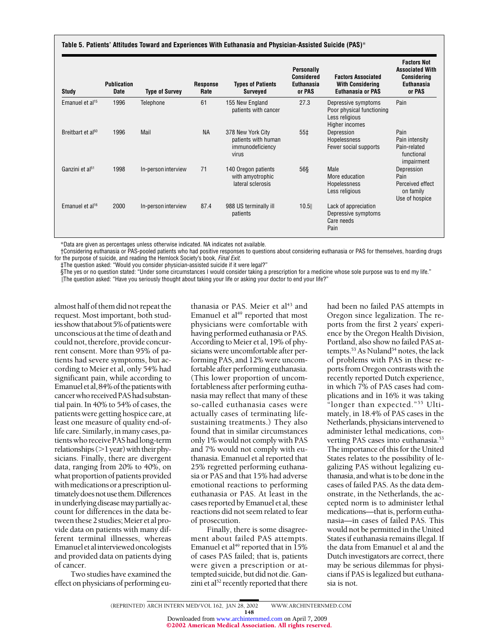| Study                         | <b>Publication</b><br><b>Date</b> | <b>Type of Survey</b> | <b>Response</b><br>Rate | <b>Types of Patients</b><br><b>Surveyed</b>                           | <b>Personally</b><br><b>Considered</b><br>Euthanasia<br>or PAS | <b>Factors Associated</b><br><b>With Considering</b><br><b>Euthanasia or PAS</b>     | <b>Factors Not</b><br><b>Associated With</b><br><b>Considering</b><br>Euthanasia<br>or PAS |
|-------------------------------|-----------------------------------|-----------------------|-------------------------|-----------------------------------------------------------------------|----------------------------------------------------------------|--------------------------------------------------------------------------------------|--------------------------------------------------------------------------------------------|
| Emanuel et al <sup>15</sup>   | 1996                              | Telephone             | 61                      | 155 New England<br>patients with cancer                               | 27.3                                                           | Depressive symptoms<br>Poor physical functioning<br>Less religious<br>Higher incomes | Pain                                                                                       |
| Breitbart et al <sup>50</sup> | 1996                              | Mail                  | <b>NA</b>               | 378 New York City<br>patients with human<br>immunodeficiency<br>virus | 55 <sup>‡</sup>                                                | Depression<br>Hopelessness<br>Fewer social supports                                  | Pain<br>Pain intensity<br>Pain-related<br>functional<br>impairment                         |
| Ganzini et al <sup>51</sup>   | 1998                              | In-person interview   | 71                      | 140 Oregon patients<br>with amyotrophic<br>lateral sclerosis          | 56 <sub>5</sub>                                                | Male<br>More education<br>Hopelessness<br>Less religious                             | Depression<br>Pain<br>Perceived effect<br>on family<br>Use of hospice                      |
| Emanuel et al <sup>16</sup>   | 2000                              | In-person interview   | 87.4                    | 988 US terminally ill<br>patients                                     | 10.5                                                           | Lack of appreciation<br>Depressive symptoms<br>Care needs<br>Pain                    |                                                                                            |

\*Data are given as percentages unless otherwise indicated. NA indicates not available.

†Considering euthanasia or PAS-pooled patients who had positive responses to questions about considering euthanasia or PAS for themselves, hoarding drugs for the purpose of suicide, and reading the Hemlock Society's book, *Final Exit*.

‡The question asked: "Would you consider physician-assisted suicide if it were legal?"

§The yes or no question stated: "Under some circumstances I would consider taking a prescription for a medicine whose sole purpose was to end my life."

The question asked: "Have you seriously thought about taking your life or asking your doctor to end your life?"

almost half of them did not repeat the request. Most important, both studiesshowthatabout5%ofpatientswere unconscious at the time of death and could not, therefore, provide concurrent consent. More than 95% of patients had severe symptoms, but according to Meier et al, only 54% had significant pain, while according to Emanueletal,84%ofthepatientswith cancerwhoreceivedPAShadsubstantial pain. In 40% to 54% of cases, the patients were getting hospice care, at least one measure of quality end-oflife care. Similarly, in many cases, patientswhoreceivePAShadlong-term  $relationships (>1 year)$  with their physicians. Finally, there are divergent data, ranging from 20% to 40%, on what proportion of patients provided with medications or a prescription ultimately does not use them. Differences inunderlyingdiseasemaypartiallyaccount for differences in the data between these 2 studies; Meier et al provide data on patients with many different terminal illnesses, whereas Emanuel et al interviewed oncologists and provided data on patients dying of cancer.

Two studies have examined the effect on physicians of performing euthanasia or PAS. Meier et al<sup>43</sup> and Emanuel et al<sup>49</sup> reported that most physicians were comfortable with having performed euthanasia or PAS. According to Meier et al, 19% of physicians were uncomfortable after performing PAS, and 12% were uncomfortable after performing euthanasia. (This lower proportion of uncomfortableness after performing euthanasia may reflect that many of these so-called euthanasia cases were actually cases of terminating lifesustaining treatments.) They also found that in similar circumstances only 1% would not comply with PAS and 7% would not comply with euthanasia. Emanuel et al reported that 25% regretted performing euthanasia or PAS and that 15% had adverse emotional reactions to performing euthanasia or PAS. At least in the cases reported by Emanuel et al, these reactions did not seem related to fear of prosecution.

Finally, there is some disagreement about failed PAS attempts. Emanuel et al<sup>49</sup> reported that in  $15\%$ of cases PAS failed; that is, patients were given a prescription or attempted suicide, but did not die. Ganzini et al<sup>52</sup> recently reported that there had been no failed PAS attempts in Oregon since legalization. The reports from the first 2 years' experience by the Oregon Health Division, Portland, also show no failed PAS attempts.<sup>53</sup> As Nuland<sup>54</sup> notes, the lack of problems with PAS in these reports from Oregon contrasts with the recently reported Dutch experience, in which 7% of PAS cases had complications and in 16% it was taking "longer than expected."55 Ultimately, in 18.4% of PAS cases in the Netherlands, physicians intervened to administer lethal medications, converting PAS cases into euthanasia.<sup>53</sup> The importance of this for the United States relates to the possibility of legalizing PAS without legalizing euthanasia, and what is to be done in the cases of failed PAS. As the data demonstrate, in the Netherlands, the accepted norm is to administer lethal medications—that is, perform euthanasia—in cases of failed PAS. This would not be permitted in the United States if euthanasia remains illegal. If the data from Emanuel et al and the Dutch investigators are correct, there may be serious dilemmas for physicians if PAS is legalized but euthanasia is not.

©2002 American Medical Association. All rights reserved.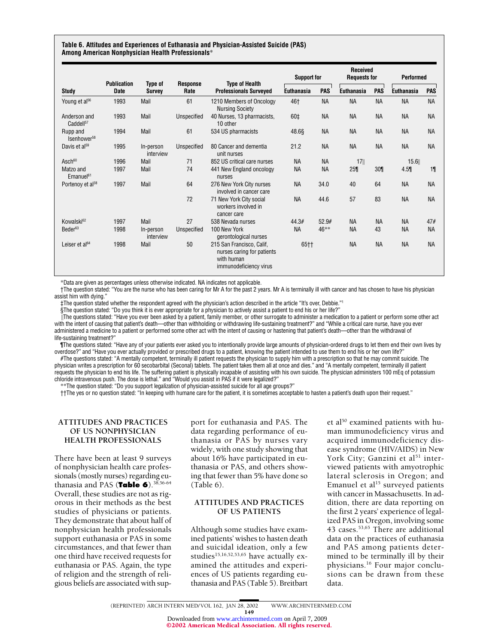### **Table 6. Attitudes and Experiences of Euthanasia and Physician-Assisted Suicide (PAS) Among American Nonphysician Health Professionals**\*

|                                       |                                   |                                 |                         |                                                                                                 | <b>Support for</b> |            | <b>Received</b><br><b>Requests for</b> |           | <b>Performed</b> |            |
|---------------------------------------|-----------------------------------|---------------------------------|-------------------------|-------------------------------------------------------------------------------------------------|--------------------|------------|----------------------------------------|-----------|------------------|------------|
| <b>Study</b>                          | <b>Publication</b><br><b>Date</b> | <b>Type of</b><br><b>Survey</b> | <b>Response</b><br>Rate | <b>Type of Health</b><br><b>Professionals Surveyed</b>                                          | Euthanasia         | <b>PAS</b> | <b>Euthanasia</b>                      | PAS       | Euthanasia       | <b>PAS</b> |
| Young et al <sup>56</sup>             | 1993                              | Mail                            | 61                      | 1210 Members of Oncology<br><b>Nursing Society</b>                                              | 46†                | <b>NA</b>  | <b>NA</b>                              | <b>NA</b> | <b>NA</b>        | <b>NA</b>  |
| Anderson and<br>Caddell <sup>57</sup> | 1993                              | Mail                            | Unspecified             | 40 Nurses, 13 pharmacists,<br>10 other                                                          | 60‡                | <b>NA</b>  | <b>NA</b>                              | <b>NA</b> | <b>NA</b>        | <b>NA</b>  |
| Rupp and<br>Isenhower <sup>58</sup>   | 1994                              | Mail                            | 61                      | 534 US pharmacists                                                                              | 48.6§              | <b>NA</b>  | <b>NA</b>                              | <b>NA</b> | <b>NA</b>        | <b>NA</b>  |
| Davis et al <sup>59</sup>             | 1995                              | In-person<br>interview          | Unspecified             | 80 Cancer and dementia<br>unit nurses                                                           | 21.2               | <b>NA</b>  | <b>NA</b>                              | <b>NA</b> | <b>NA</b>        | <b>NA</b>  |
| Asch <sup>60</sup>                    | 1996                              | Mail                            | 71                      | 852 US critical care nurses                                                                     | <b>NA</b>          | <b>NA</b>  | 17                                     |           | 15.6             |            |
| Matzo and<br>Emanuel <sup>61</sup>    | 1997                              | Mail                            | 74                      | 441 New England oncology<br>nurses                                                              | <b>NA</b>          | <b>NA</b>  | 25                                     | 30¶       | 4.5              | 11         |
| Portenoy et al <sup>38</sup>          | 1997                              | Mail                            | 64                      | 276 New York City nurses<br>involved in cancer care                                             | <b>NA</b>          | 34.0       | 40                                     | 64        | <b>NA</b>        | <b>NA</b>  |
|                                       |                                   |                                 | 72                      | 71 New York City social<br>workers involved in<br>cancer care                                   | <b>NA</b>          | 44.6       | 57                                     | 83        | <b>NA</b>        | <b>NA</b>  |
| Kowalski <sup>62</sup>                | 1997                              | Mail                            | 27                      | 538 Nevada nurses                                                                               | 44.3#              | 52.9#      | <b>NA</b>                              | <b>NA</b> | <b>NA</b>        | 47#        |
| Beder <sup>63</sup>                   | 1998                              | In-person<br>interview          | Unspecified             | 100 New York<br>gerontological nurses                                                           | <b>NA</b>          | $46**$     | <b>NA</b>                              | 43        | <b>NA</b>        | <b>NA</b>  |
| Leiser et al <sup>64</sup>            | 1998                              | Mail                            | 50                      | 215 San Francisco, Calif.<br>nurses caring for patients<br>with human<br>immunodeficiency virus | 65††               |            | <b>NA</b>                              | <b>NA</b> | <b>NA</b>        | <b>NA</b>  |

\*Data are given as percentages unless otherwise indicated. NA indicates not applicable.

†The question stated: "You are the nurse who has been caring for Mr A for the past 2 years. Mr A is terminally ill with cancer and has chosen to have his physician assist him with dying."

‡The question stated whether the respondent agreed with the physician's action described in the article "It's over, Debbie."1

§The question stated: "Do you think it is ever appropriate for a physician to actively assist a patient to end his or her life?"

The questions stated: "Have you ever been asked by a patient, family member, or other surrogate to administer a medication to a patient or perform some other act with the intent of causing that patient's death—other than withholding or withdrawing life-sustaining treatment?" and "While a critical care nurse, have you ever administered a medicine to a patient or performed some other act with the intent of causing or hastening that patient's death—other than the withdrawal of life-sustaining treatment?"

¶The questions stated: "Have any of your patients ever asked you to intentionally provide large amounts of physician-ordered drugs to let them end their own lives by overdose?" and "Have you ever actually provided or prescribed drugs to a patient, knowing the patient intended to use them to end his or her own life?"

#The questions stated: "A mentally competent, terminally ill patient requests the physician to supply him with a prescription so that he may commit suicide. The physician writes a prescription for 60 secobarbital (Seconal) tablets. The patient takes them all at once and dies." and "A mentally competent, terminally ill patient requests the physician to end his life. The suffering patient is physically incapable of assisting with his own suicide. The physician administers 100 mEq of potassium chloride intravenous push. The dose is lethal." and "Would you assist in PAS if it were legalized?"

\*\*The question stated: "Do you support legalization of physician-assisted suicide for all age groups?"

††The yes or no question stated: "In keeping with humane care for the patient, it is sometimes acceptable to hasten a patient's death upon their request."

# **ATTITUDES AND PRACTICES OF US NONPHYSICIAN HEALTH PROFESSIONALS**

There have been at least 9 surveys of nonphysician health care professionals (mostly nurses) regarding euthanasia and PAS (**Table 6**).38,56-64 Overall, these studies are not as rigorous in their methods as the best studies of physicians or patients. They demonstrate that about half of nonphysician health professionals support euthanasia or PAS in some circumstances, and that fewer than one third have received requests for euthanasia or PAS. Again, the type of religion and the strength of religious beliefs are associated with support for euthanasia and PAS. The data regarding performance of euthanasia or PAS by nurses vary widely, with one study showing that about 16% have participated in euthanasia or PAS, and others showing that fewer than 5% have done so (Table 6).

# **ATTITUDES AND PRACTICES OF US PATIENTS**

Although some studies have examined patients' wishes to hasten death and suicidal ideation, only a few studies<sup>15,16,52,53,65</sup> have actually examined the attitudes and experiences of US patients regarding euthanasia and PAS (Table 5). Breitbart et al<sup>50</sup> examined patients with human immunodeficiency virus and acquired immunodeficiency disease syndrome (HIV/AIDS) in New York City; Ganzini et al<sup>51</sup> interviewed patients with amyotrophic lateral sclerosis in Oregon; and Emanuel et al<sup>15</sup> surveyed patients with cancer in Massachusetts. In addition, there are data reporting on the first 2 years' experience of legalized PAS in Oregon, involving some 43 cases.53,65 There are additional data on the practices of euthanasia and PAS among patients determined to be terminally ill by their physicians.16 Four major conclusions can be drawn from these data.

©2002 American Medical Association. All rights reserved. Downloaded from [www.archinternmed.com](http://www.archinternmed.com) on April 7, 2009

<sup>149</sup>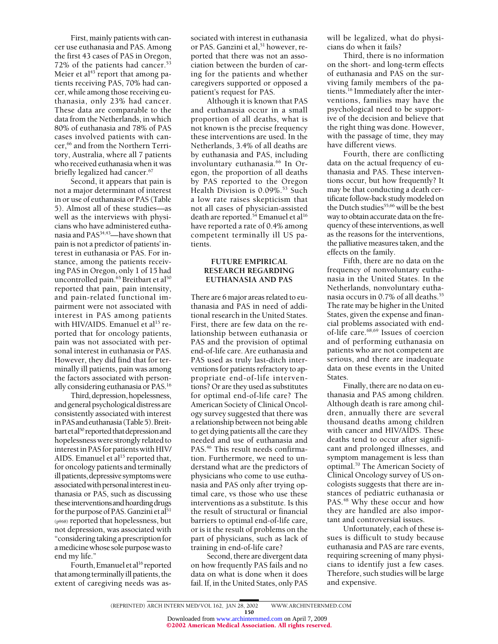First, mainly patients with cancer use euthanasia and PAS. Among the first 43 cases of PAS in Oregon, 72% of the patients had cancer.<sup>53</sup> Meier et al $43$  report that among patients receiving PAS, 70% had cancer, while among those receiving euthanasia, only 23% had cancer. These data are comparable to the data from the Netherlands, in which 80% of euthanasia and 78% of PAS cases involved patients with cancer,<sup>66</sup> and from the Northern Territory, Australia, where all 7 patients who received euthanasia when it was briefly legalized had cancer.<sup>67</sup>

Second, it appears that pain is not a major determinant of interest in or use of euthanasia or PAS (Table 5). Almost all of these studies—as well as the interviews with physicians who have administered euthanasia and PAS34,43—have shown that pain is not a predictor of patients' interest in euthanasia or PAS. For instance, among the patients receiving PAS in Oregon, only 1 of 15 had uncontrolled pain.<sup>65</sup> Breitbart et al<sup>50</sup> reported that pain, pain intensity, and pain-related functional impairment were not associated with interest in PAS among patients with HIV/AIDS. Emanuel et al<sup>15</sup> reported that for oncology patients, pain was not associated with personal interest in euthanasia or PAS. However, they did find that for terminally ill patients, pain was among the factors associated with personally considering euthanasia or PAS.16

Third, depression, hopelessness, and general psychological distress are consistently associated with interest inPASandeuthanasia(Table5).Breitbart et al<sup>50</sup> reported that depression and hopelessness were strongly related to interest in PAS for patients with HIV/ AIDS. Emanuel et al<sup>15</sup> reported that, for oncology patients and terminally illpatients,depressivesymptomswere associated with personal interest in euthanasia or PAS, such as discussing these interventions and hoarding drugs for the purpose of PAS. Ganzini et al<sup>51</sup> (p968) reported that hopelessness, but not depression, was associated with "considering taking a prescription for a medicine whose sole purpose was to end my life."

Fourth, Emanuel et al<sup>16</sup> reported that among terminally ill patients, the extent of caregiving needs was associated with interest in euthanasia or PAS. Ganzini et al,<sup>51</sup> however, reported that there was not an association between the burden of caring for the patients and whether caregivers supported or opposed a patient's request for PAS.

Although it is known that PAS and euthanasia occur in a small proportion of all deaths, what is not known is the precise frequency these interventions are used. In the Netherlands, 3.4% of all deaths are by euthanasia and PAS, including involuntary euthanasia.66 In Oregon, the proportion of all deaths by PAS reported to the Oregon Health Division is 0.09%.<sup>53</sup> Such a low rate raises skepticism that not all cases of physician-assisted death are reported.<sup>54</sup> Emanuel et al<sup>16</sup> have reported a rate of 0.4% among competent terminally ill US patients.

# **FUTURE EMPIRICAL RESEARCH REGARDING EUTHANASIA AND PAS**

There are 6 major areas related to euthanasia and PAS in need of additional research in the United States. First, there are few data on the relationship between euthanasia or PAS and the provision of optimal end-of-life care. Are euthanasia and PAS used as truly last-ditch interventions for patients refractory to appropriate end-of-life interventions? Or are they used as substitutes for optimal end-of-life care? The American Society of Clinical Oncology survey suggested that there was a relationship between not being able to get dying patients all the care they needed and use of euthanasia and PAS.<sup>46</sup> This result needs confirmation. Furthermore, we need to understand what are the predictors of physicians who come to use euthanasia and PAS only after trying optimal care, vs those who use these interventions as a substitute. Is this the result of structural or financial barriers to optimal end-of-life care, or is it the result of problems on the part of physicians, such as lack of training in end-of-life care?

Second, there are divergent data on how frequently PAS fails and no data on what is done when it does fail. If, in the United States, only PAS will be legalized, what do physicians do when it fails?

Third, there is no information on the short- and long-term effects of euthanasia and PAS on the surviving family members of the patients.16 Immediately after the interventions, families may have the psychological need to be supportive of the decision and believe that the right thing was done. However, with the passage of time, they may have different views.

Fourth, there are conflicting data on the actual frequency of euthanasia and PAS. These interventions occur, but how frequently? It may be that conducting a death certificate follow-back study modeled on the Dutch studies<sup>55,66</sup> will be the best way to obtain accurate data on the frequency of these interventions, as well as the reasons for the interventions, the palliative measures taken, and the effects on the family.

Fifth, there are no data on the frequency of nonvoluntary euthanasia in the United States. In the Netherlands, nonvoluntary euthanasia occurs in 0.7% of all deaths.<sup>55</sup> The rate may be higher in the United States, given the expense and financial problems associated with endof-life care.68,69 Issues of coercion and of performing euthanasia on patients who are not competent are serious, and there are inadequate data on these events in the United **States** 

Finally, there are no data on euthanasia and PAS among children. Although death is rare among children, annually there are several thousand deaths among children with cancer and HIV/AIDS. These deaths tend to occur after significant and prolonged illnesses, and symptom management is less than optimal.70 The American Society of Clinical Oncology survey of US oncologists suggests that there are instances of pediatric euthanasia or PAS.<sup>48</sup> Why these occur and how they are handled are also important and controversial issues.

Unfortunately, each of these issues is difficult to study because euthanasia and PAS are rare events, requiring screening of many physicians to identify just a few cases. Therefore, such studies will be large and expensive.

©2002 American Medical Association. All rights reserved. Downloaded from [www.archinternmed.com](http://www.archinternmed.com) on April 7, 2009

<sup>150</sup>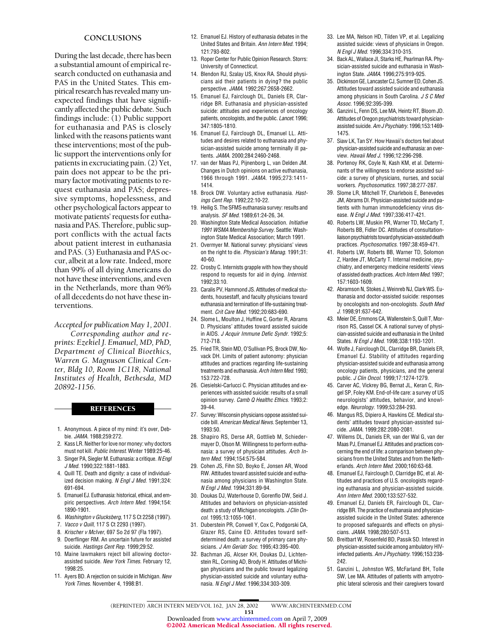# **CONCLUSIONS**

During the last decade, there has been a substantial amount of empirical research conducted on euthanasia and PAS in the United States. This empirical research has revealed many unexpected findings that have significantly affected the public debate. Such findings include: (1) Public support for euthanasia and PAS is closely linked with the reasons patients want these interventions; most of the public support the interventions only for patients in excruciating pain. (2) Yet, pain does not appear to be the primary factor motivating patients to request euthanasia and PAS; depressive symptoms, hopelessness, and other psychological factors appear to motivate patients'requests for euthanasia and PAS. Therefore, public support conflicts with the actual facts about patient interest in euthanasia and PAS. (3) Euthanasia and PAS occur, albeit at a low rate. Indeed, more than 99% of all dying Americans do not have these interventions, and even in the Netherlands, more than 96% of all decedents do not have these interventions.

*Accepted for publication May 1, 2001. Corresponding author and reprints: Ezekiel J. Emanuel, MD, PhD, Department of Clinical Bioethics, Warren G. Magnuson Clinical Center, Bldg 10, Room 1C118, National Institutes of Health, Bethesda, MD 20892-1156.*

#### **REFERENCES**

- 1. Anonymous. A piece of my mind: it's over, Debbie. *JAMA*. 1988;259:272.
- 2. Kass LR. Neither for love nor money: why doctors must not kill. *Public Interest*. Winter 1989:25-46.
- 3. Singer PA, Siegler M. Euthanasia: a critique. *N Engl J Med*. 1990;322:1881-1883.
- 4. Quill TE. Death and dignity: a case of individualized decision making. *N Engl J Med*. 1991;324: 691-694.
- 5. Emanuel EJ. Euthanasia: historical, ethical, and empiric perspectives. *Arch Intern Med*. 1994;154: 1890-1901.
- 6. *Washington v Glucksberg*, 117 S Ct 2258 (1997).
- 7. *Vacco v Quill*, 117 S Ct 2293 (1997).
- 8. *Krischer v McIver*, 697 So 2d 97 (Fla 1997).
- 9. Doerflinger RM. An uncertain future for assisted suicide. *Hastings Cent Rep*. 1999;29:52.
- 10. Maine lawmakers reject bill allowing doctorassisted suicide. *New York Times*. February 12, 1998:25.
- 11. Ayers BD. A rejection on suicide in Michigan. *New York Times*. November 4, 1998:B1.
- 12. Emanuel EJ. History of euthanasia debates in the United States and Britain. *Ann Intern Med*. 1994; 121:793-802.
- 13. Roper Center for Public Opinion Research. Storrs: University of Connecticut.
- 14. Blendon RJ, Szalay US, Knox RA. Should physicians aid their patients in dying? the public perspective. *JAMA*. 1992;267:2658-2662.
- 15. Emanuel EJ, Fairclough DL, Daniels ER, Clarridge BR. Euthanasia and physician-assisted suicide: attitudes and experiences of oncology patients, oncologists, and the public. *Lancet*. 1996; 347:1805-1810.
- 16. Emanuel EJ, Fairclough DL, Emanuel LL. Attitudes and desires related to euthanasia and physician-assisted suicide among terminally ill patients. *JAMA*. 2000;284:2460-2468.
- 17. van der Maas PJ, Pijnenborg L, van Delden JM. Changes in Dutch opinions on active euthanasia, 1966 through 1991. *JAMA*. 1995;273:1411- 1414.
- 18. Brock DW. Voluntary active euthanasia. *Hastings Cent Rep*. 1992;22:10-22.
- 19. Heilig S. The SFMS euthanasia survey: results and analysis. *SF Med*. 1989;61:24-26, 34.
- 20. Washington State Medical Association. *Initiative 1991 WSMA Membership Survey*. Seattle: Washington State Medical Association; March 1991.
- 21. Overmyer M. National survey: physicians' views on the right to die. *Physician's Manag*. 1991;31: 40-60.
- 22. Crosby C. Internists grapple with how they should respond to requests for aid in dying. *Internist*. 1992;33:10.
- 23. Caralis PV, Hammond JS. Attitudes of medical students, housestaff, and faculty physicians toward euthanasia and termination of life-sustaining treatment. *Crit Care Med*. 1992;20:683-690.
- 24. Slome L, Moulton J, Huffine C, Gorter R, Abrams D. Physicians' attitudes toward assisted suicide in AIDS. *J Acquir Immune Defic Syndr*. 1992;5: 712-718.
- 25. Fried TR, Stein MD, O'Sullivan PS, Brock DW, Novack DH. Limits of patient autonomy: physician attitudes and practices regarding life-sustaining treatments and euthanasia. *Arch Intern Med*. 1993; 153:722-728.
- 26. Ciesielski-Carlucci C. Physician attitudes and experiences with assisted suicide: results of a small opinion survey. *Camb Q Healthc Ethics*. 1993;2: 39-44.
- 27. Survey: Wisconsin physicians oppose assisted suicide bill. *American Medical News*. September 13, 1993:50.
- 28. Shapiro RS, Derse AR, Gottlieb M, Schiedermayer D, Olson M. Willingness to perform euthanasia: a survey of physician attitudes. *Arch Intern Med*. 1994;154:575-584.
- 29. Cohen JS, Fihn SD, Boyko E, Jonsen AR, Wood RW. Attitudes toward assisted suicide and euthanasia among physicians in Washington State. *N Engl J Med*. 1994;331:89-94.
- 30. Doukas DJ, Waterhouse D, Gorenflo DW, Seid J. Attitudes and behaviors on physician-assisted death: a study of Michigan oncologists. *J Clin Oncol*. 1995;13:1055-1061.
- 31. Duberstein PR, Conwell Y, Cox C, Podgorski CA, Glazer RS, Caine ED. Attitudes toward selfdetermined death: a survey of primary care physicians. *J Am Geriatr Soc*. 1995;43:395-400.
- 32. Bachman JG, Alcser KH, Doukas DJ, Lichtenstein RL, Corning AD, Brody H. Attitudes of Michigan physicians and the public toward legalizing physician-assisted suicide and voluntary euthanasia. *N Engl J Med*. 1996;334:303-309.
- 33. Lee MA, Nelson HD, Tilden VP, et al. Legalizing assisted suicide: views of physicians in Oregon. *N Engl J Med*. 1996;334:310-315.
- 34. Back AL, Wallace JI, Starks HE, Pearlman RA. Physician-assisted suicide and euthanasia in Washington State. *JAMA*. 1996;275:919-925.
- 35. Dickinson GE, Lancaster CJ, Sumner ED, Cohen JS. Attitudes toward assisted suicide and euthanasia among physicians in South Carolina. *J S C Med Assoc*. 1996;92:395-399.
- 36. Ganzini L, Fenn DS, Lee MA, Heintz RT, Bloom JD. Attitudes of Oregon psychiatrists toward physicianassisted suicide. *Am J Psychiatry*. 1996;153:1469- 1475.
- 37 Siaw LK Tan SY. How Hawaii's doctors feel about physician-assisted suicide and euthanasia: an overview. *Hawaii Med J*. 1996;12:296-298.
- 38. Portenoy RK, Coyle N, Kash KM, et al. Determinants of the willingness to endorse assisted suicide: a survey of physicians, nurses, and social workers. *Psychosomatics*. 1997;38:277-287.
- 39. Slome LR, Mitchell TF, Charlebois E, Benevedes JM, Abrams DI. Physician-assisted suicide and patients with human immunodeficiency virus disease. *N Engl J Med*. 1997;336:417-421.
- 40. Roberts LW, Muskin PR, Warner TD, McCarty T, Roberts BB, Fidler DC. Attitudes of consultationliaison psychiatrists toward physician-assisted death practices. *Psychosomatics*. 1997;38:459-471.
- 41. Roberts LW, Roberts BB, Warner TD, Solomon Z, Hardee JT, McCarty T. Internal medicine, psychiatry, and emergency medicine residents' views of assisted death practices. *Arch Intern Med*. 1997; 157:1603-1609.
- 42. Abramson N, Stokes J, Weinreb NJ, Clark WS. Euthanasia and doctor-assisted suicide: responses by oncologists and non-oncologists. *South Med J*. 1998;91:637-642.
- 43. Meier DE, Emmons CA, Wallenstein S, Quill T, Morrison RS, Cassel CK. A national survey of physician-assisted suicide and euthanasia in the United States. *N Engl J Med*. 1998;338:1193-1201.
- 44. Wolfe J, Fairclough DL, Clarridge BR, Daniels ER, Emanuel EJ. Stability of attitudes regarding physician-assisted suicide and euthanasia among oncology patients, physicians, and the general public. *J Clin Oncol*. 1999;17:1274-1279.
- 45. Carver AC, Vickrey BG, Bernat JL, Keran C, Ringel SP, Foley KM. End-of-life care: a survey of US neurologists' attitudes, behavior, and knowledge. *Neurology*. 1999;53:284-293.
- 46. Mangus RS, Dipiero A, Hawkins CE. Medical students' attitudes toward physician-assisted suicide. *JAMA*. 1999;282:2080-2081.
- 47. Willems DL, Daniels ER, van der Wal G, van der Maas PJ, Emanuel EJ. Attitudes and practices concerning the end of life: a comparison between physicians from the United States and from the Netherlands. *Arch Intern Med*. 2000;160:63-68.
- 48. Emanuel EJ, Fairclough D, Clarridge BC, et al. Attitudes and practices of U.S. oncologists regarding euthanasia and physician-assisted suicide. *Ann Intern Med*. 2000;133:527-532.
- 49. Emanuel EJ, Daniels ER, Fairclough DL, Clarridge BR. The practice of euthanasia and physicianassisted suicide in the United States: adherence to proposed safeguards and effects on physicians. *JAMA*. 1998;280:507-513.
- 50. Breitbart W, Rosenfeld BD, Passik SD. Interest in physician-assisted suicide among ambulatory HIVinfected patients. *Am J Psychiatry*. 1996;153:238- 242.
- 51. Ganzini L, Johnston WS, McFarland BH, Tolle SW, Lee MA. Attitudes of patients with amyotrophic lateral sclerosis and their caregivers toward

151